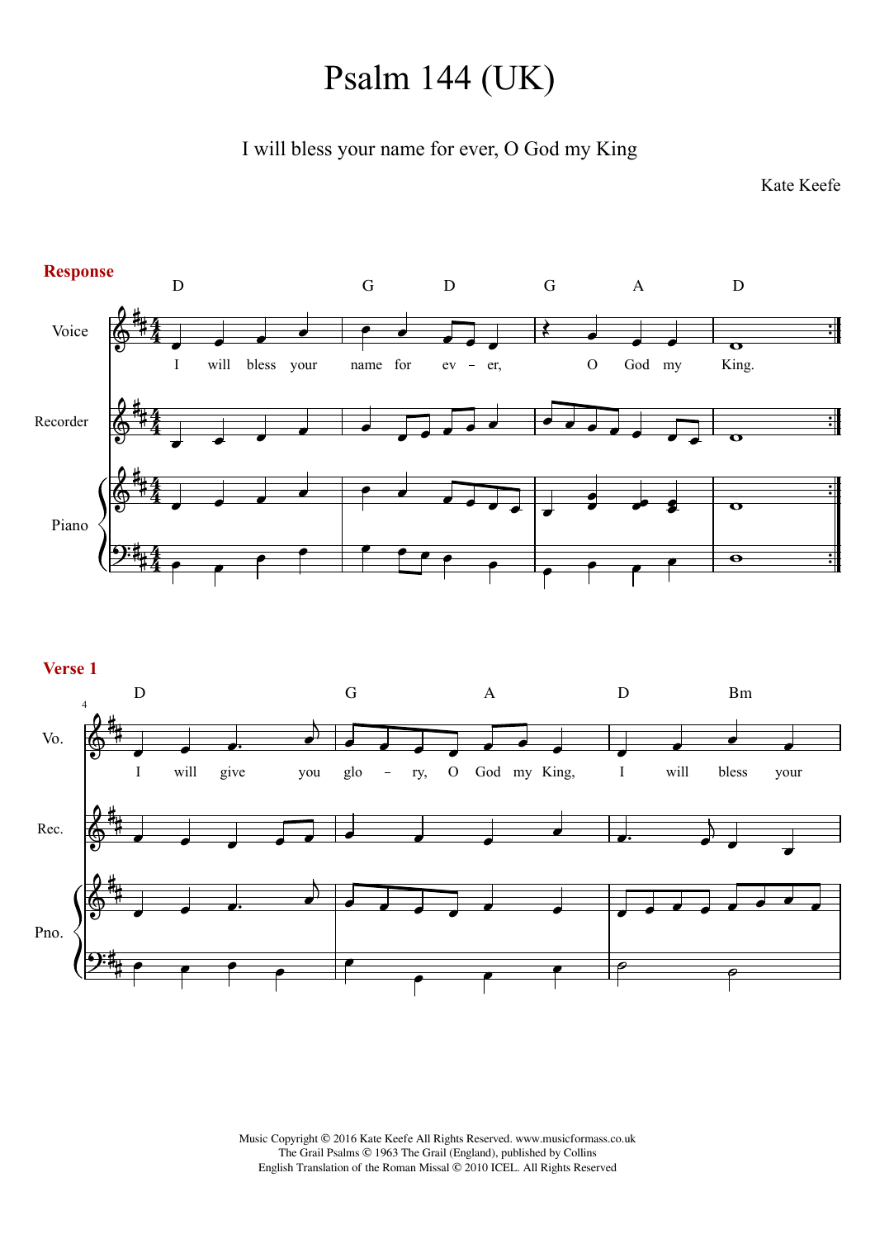## Psalm 144 (UK)

I will bless your name for ever, O God my King

Kate Keefe



**Verse 1**



Music Copyright © 2016 Kate Keefe All Rights Reserved. www.musicformass.co.uk The Grail Psalms © 1963 The Grail (England), published by Collins English Translation of the Roman Missal © 2010 ICEL. All Rights Reserved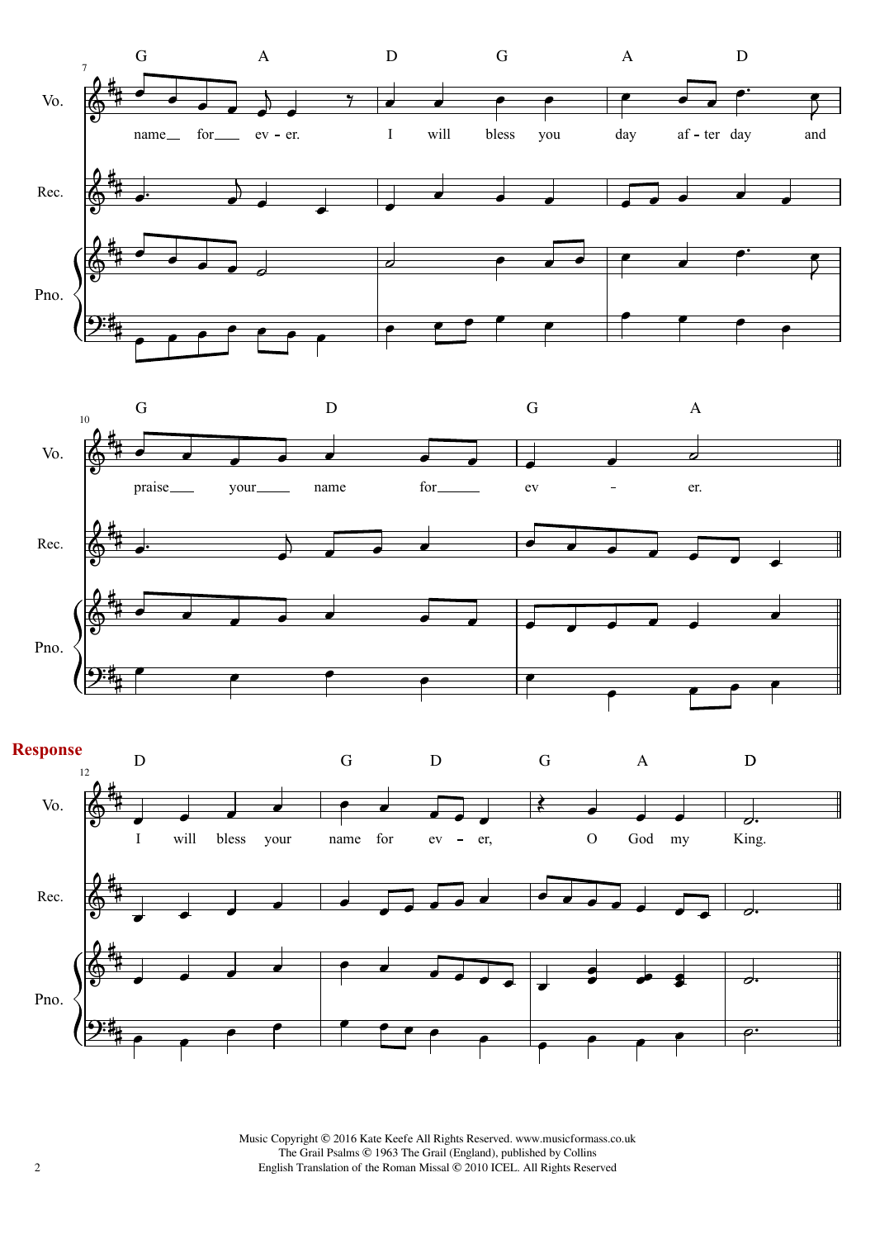





2 English Translation of the Roman Missal © 2010 ICEL. All Rights Reserved Music Copyright © 2016 Kate Keefe All Rights Reserved. www.musicformass.co.uk The Grail Psalms © 1963 The Grail (England), published by Collins English Translation of the Roman Missal © 2010 ICEL. All Rights Reserved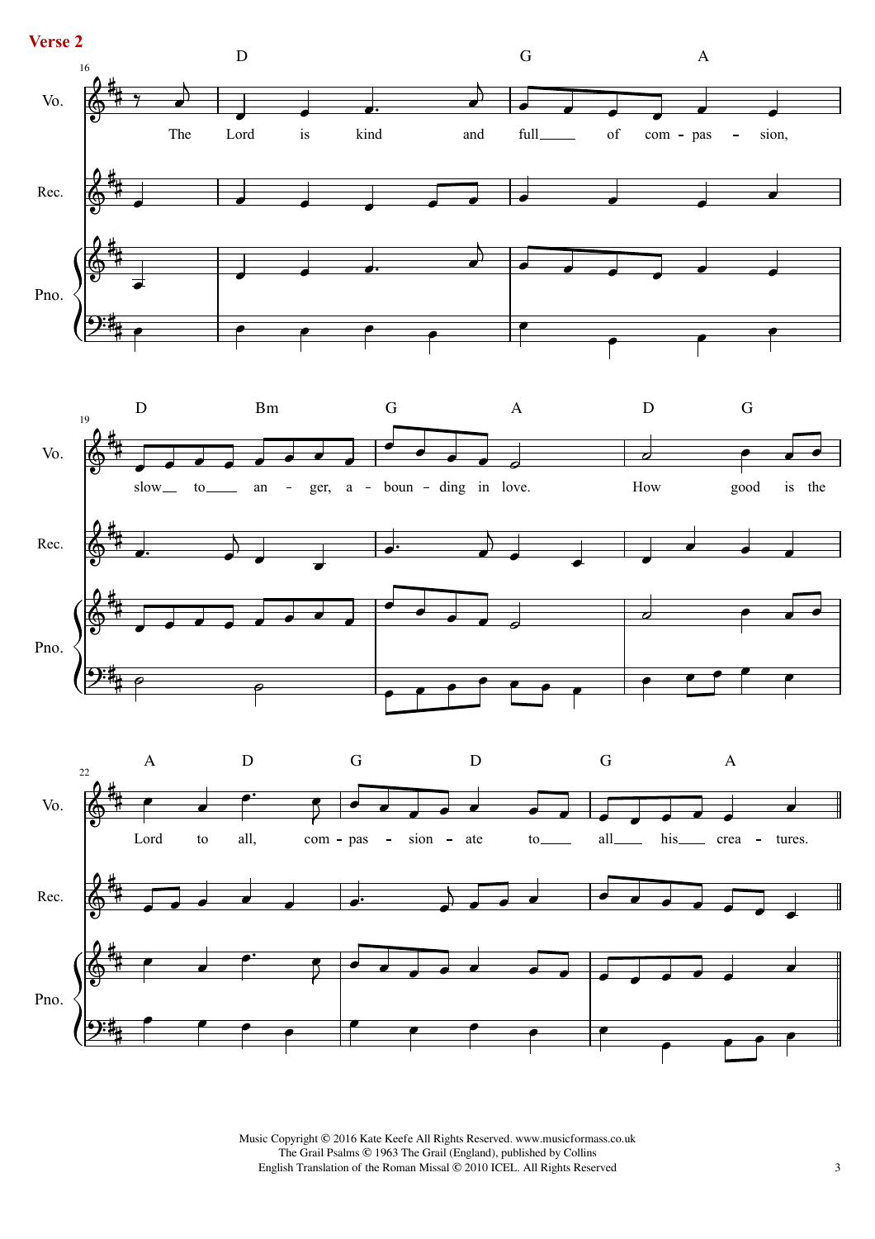



Music Copyright © 2016 Kate Keefe All Rights Reserved. www.musicformass.co.uk The Grail Psalms © 1963 The Grail (England), published by Collins English Translation of the Roman Missal © 2010 ICEL. All Rights Reserved 3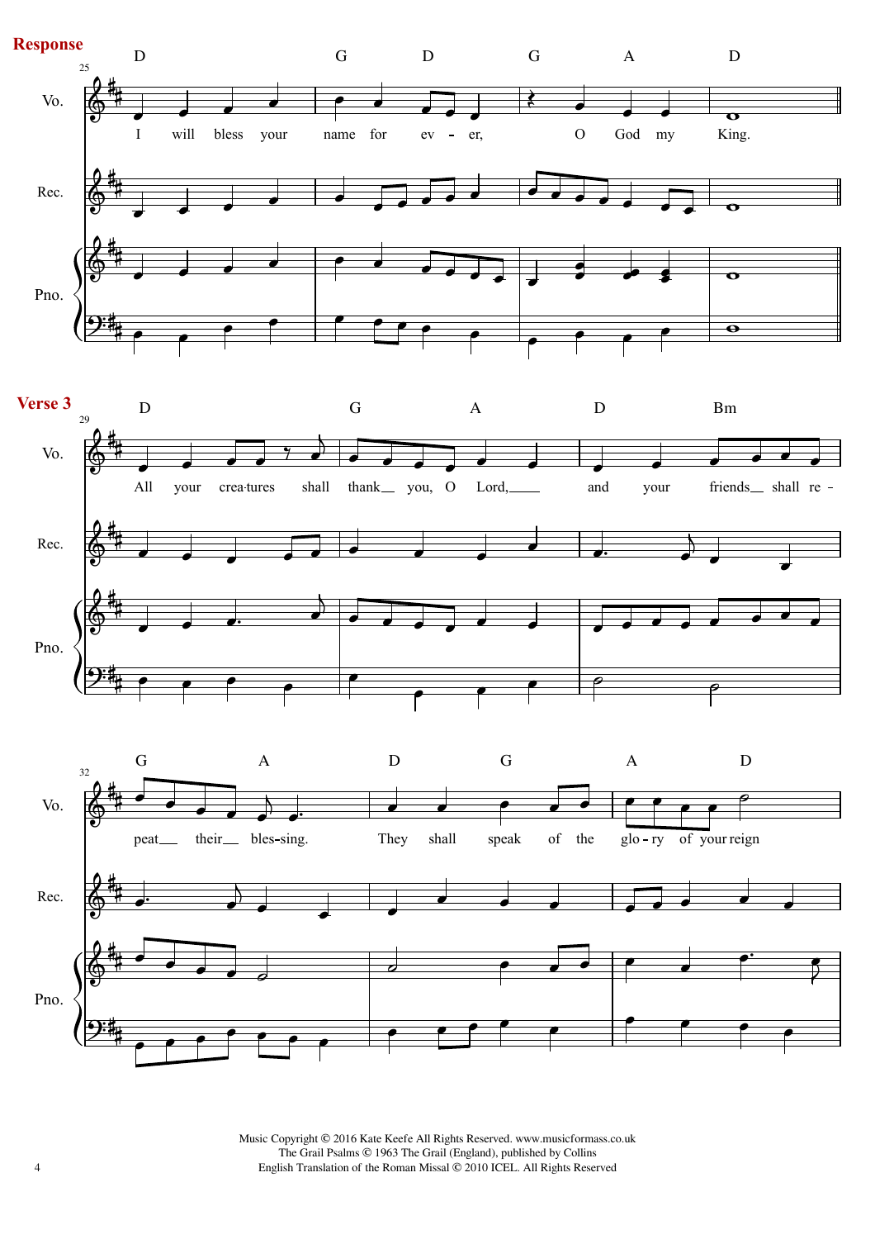

4 English Translation of the Roman Missal © 2010 ICEL. All Rights Reserved Music Copyright © 2016 Kate Keefe All Rights Reserved. www.musicformass.co.uk The Grail Psalms © 1963 The Grail (England), published by Collins English Translation of the Roman Missal © 2010 ICEL. All Rights Reserved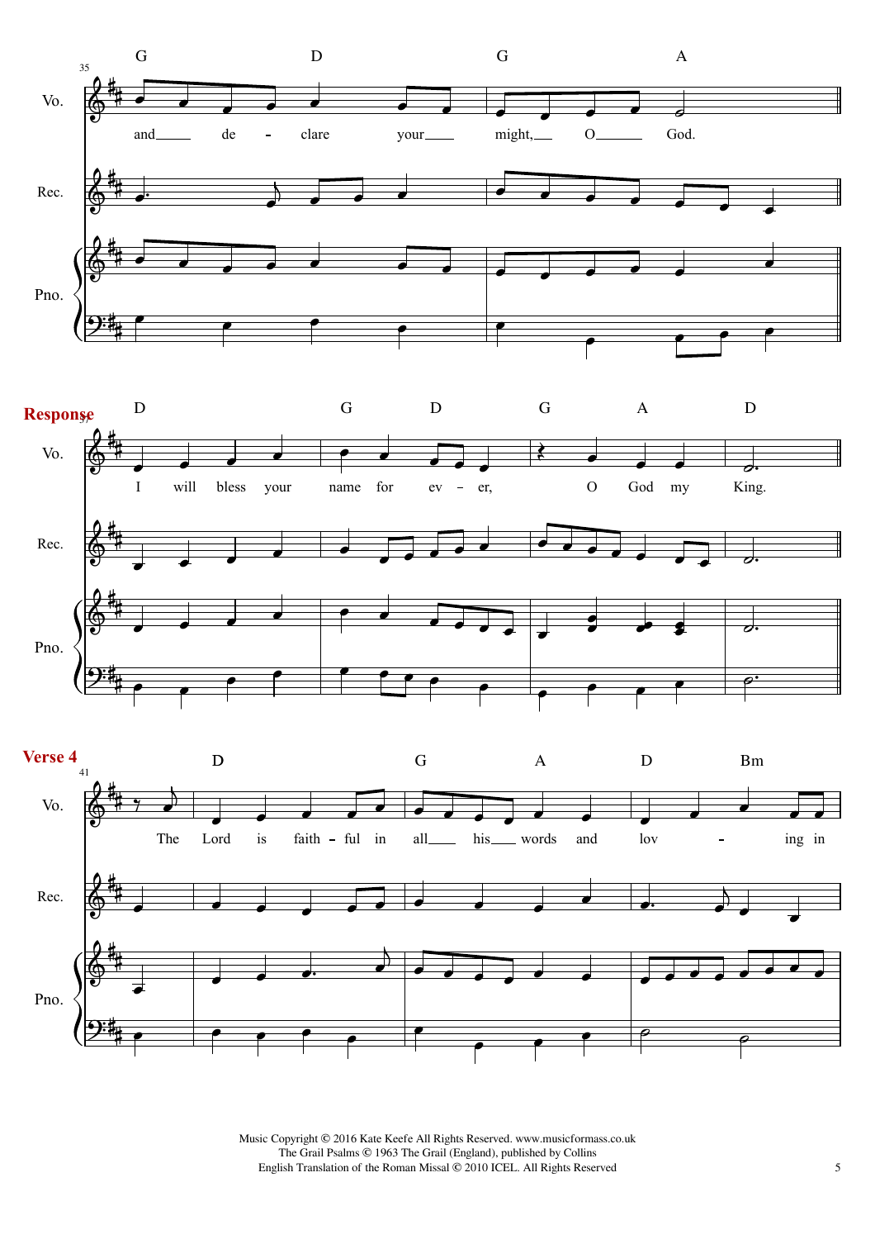





Music Copyright © 2016 Kate Keefe All Rights Reserved. www.musicformass.co.uk The Grail Psalms © 1963 The Grail (England), published by Collins English Translation of the Roman Missal © 2010 ICEL. All Rights Reserved 5